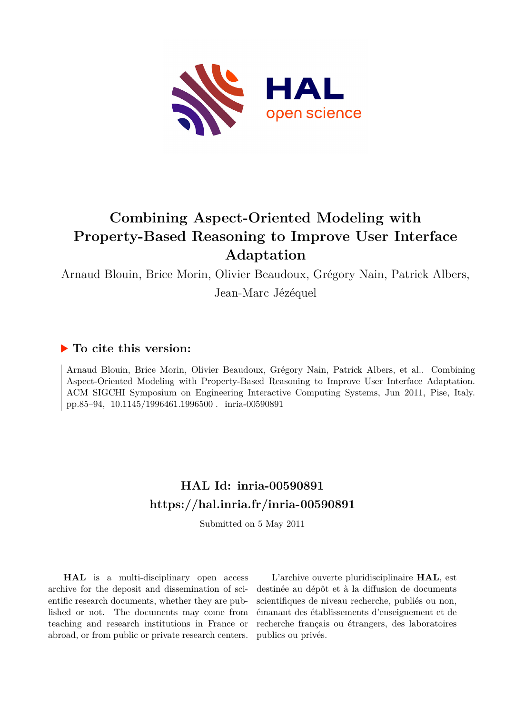

# **Combining Aspect-Oriented Modeling with Property-Based Reasoning to Improve User Interface Adaptation**

Arnaud Blouin, Brice Morin, Olivier Beaudoux, Grégory Nain, Patrick Albers,

Jean-Marc Jézéquel

# **To cite this version:**

Arnaud Blouin, Brice Morin, Olivier Beaudoux, Grégory Nain, Patrick Albers, et al.. Combining Aspect-Oriented Modeling with Property-Based Reasoning to Improve User Interface Adaptation. ACM SIGCHI Symposium on Engineering Interactive Computing Systems, Jun 2011, Pise, Italy. pp.85–94, 10.1145/1996461.1996500 inria-00590891

# **HAL Id: inria-00590891 <https://hal.inria.fr/inria-00590891>**

Submitted on 5 May 2011

**HAL** is a multi-disciplinary open access archive for the deposit and dissemination of scientific research documents, whether they are published or not. The documents may come from teaching and research institutions in France or abroad, or from public or private research centers.

L'archive ouverte pluridisciplinaire **HAL**, est destinée au dépôt et à la diffusion de documents scientifiques de niveau recherche, publiés ou non, émanant des établissements d'enseignement et de recherche français ou étrangers, des laboratoires publics ou privés.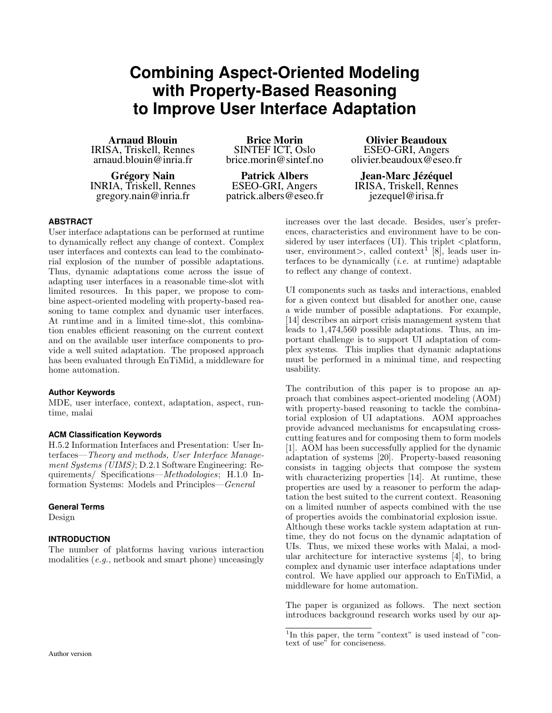# **Combining Aspect-Oriented Modeling with Property-Based Reasoning to Improve User Interface Adaptation**

Arnaud Blouin IRISA, Triskell, Rennes [arnaud.blouin@inria.fr](mailto:arnaud.blouin@inria.fr)

Grégory Nain INRIA, Triskell, Rennes [gregory.nain@inria.fr](mailto:gregory.nain@inria.fr)

Brice Morin SINTEF ICT, Oslo [brice.morin@sintef.no](mailto:brice.morin@sintef.no)

Patrick Albers ESEO-GRI, Angers [patrick.albers@eseo.fr](mailto:patrick.albers@eseo.fr)

Olivier Beaudoux ESEO-GRI, Angers [olivier.beaudoux@eseo.fr](mailto:olivier.beaudoux@eseo.fr)

Jean-Marc Jézéquel IRISA, Triskell, Rennes [jezequel@irisa.fr](mailto:jezequel@irisa.fr)

# **ABSTRACT**

User interface adaptations can be performed at runtime to dynamically reflect any change of context. Complex user interfaces and contexts can lead to the combinatorial explosion of the number of possible adaptations. Thus, dynamic adaptations come across the issue of adapting user interfaces in a reasonable time-slot with limited resources. In this paper, we propose to combine aspect-oriented modeling with property-based reasoning to tame complex and dynamic user interfaces. At runtime and in a limited time-slot, this combination enables efficient reasoning on the current context and on the available user interface components to provide a well suited adaptation. The proposed approach has been evaluated through EnTiMid, a middleware for home automation.

# **Author Keywords**

MDE, user interface, context, adaptation, aspect, runtime, malai

# **ACM Classification Keywords**

H.5.2 Information Interfaces and Presentation: User Interfaces—Theory and methods, User Interface Management Systems (UIMS); D.2.1 Software Engineering: Requirements/ Specifications—Methodologies; H.1.0 Information Systems: Models and Principles—General

#### **General Terms**

Design

## **INTRODUCTION**

The number of platforms having various interaction modalities (e.g., netbook and smart phone) unceasingly

increases over the last decade. Besides, user's preferences, characteristics and environment have to be considered by user interfaces (UI). This triplet  $\langle$  platform, user, environment>, called context<sup>[1](#page-1-0)</sup> [\[8\]](#page-10-0), leads user interfaces to be dynamically  $(i.e.$  at runtime) adaptable to reflect any change of context.

UI components such as tasks and interactions, enabled for a given context but disabled for another one, cause a wide number of possible adaptations. For example, [\[14\]](#page-10-1) describes an airport crisis management system that leads to 1,474,560 possible adaptations. Thus, an important challenge is to support UI adaptation of complex systems. This implies that dynamic adaptations must be performed in a minimal time, and respecting usability.

The contribution of this paper is to propose an approach that combines aspect-oriented modeling (AOM) with property-based reasoning to tackle the combinatorial explosion of UI adaptations. AOM approaches provide advanced mechanisms for encapsulating crosscutting features and for composing them to form models [\[1\]](#page-10-2). AOM has been successfully applied for the dynamic adaptation of systems [\[20\]](#page-10-3). Property-based reasoning consists in tagging objects that compose the system with characterizing properties [\[14\]](#page-10-1). At runtime, these properties are used by a reasoner to perform the adaptation the best suited to the current context. Reasoning on a limited number of aspects combined with the use of properties avoids the combinatorial explosion issue. Although these works tackle system adaptation at runtime, they do not focus on the dynamic adaptation of UIs. Thus, we mixed these works with Malai, a modular architecture for interactive systems [\[4\]](#page-10-4), to bring complex and dynamic user interface adaptations under control. We have applied our approach to EnTiMid, a middleware for home automation.

The paper is organized as follows. The next section introduces background research works used by our ap-

<span id="page-1-0"></span><sup>&</sup>lt;sup>1</sup>In this paper, the term "context" is used instead of "context of use" for conciseness.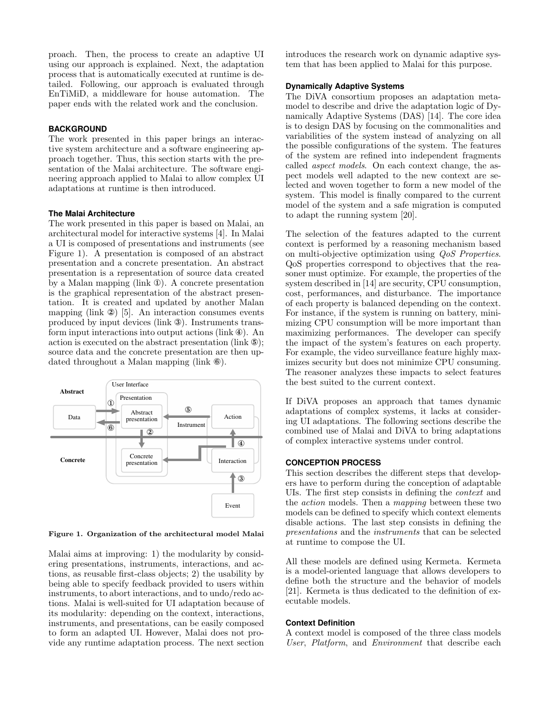proach. Then, the process to create an adaptive UI using our approach is explained. Next, the adaptation process that is automatically executed at runtime is detailed. Following, our approach is evaluated through EnTiMiD, a middleware for house automation. The paper ends with the related work and the conclusion.

# **BACKGROUND**

The work presented in this paper brings an interactive system architecture and a software engineering approach together. Thus, this section starts with the presentation of the Malai architecture. The software engineering approach applied to Malai to allow complex UI adaptations at runtime is then introduced.

#### **The Malai Architecture**

The work presented in this paper is based on Malai, an architectural model for interactive systems [\[4\]](#page-10-4). In Malai a UI is composed of presentations and instruments (see Figure [1\)](#page-2-0). A presentation is composed of an abstract presentation and a concrete presentation. An abstract presentation is a representation of source data created by a Malan mapping (link ①). A concrete presentation is the graphical representation of the abstract presentation. It is created and updated by another Malan mapping (link ②) [\[5\]](#page-10-5). An interaction consumes events produced by input devices (link ③). Instruments transform input interactions into output actions (link  $\Phi$ ). An action is executed on the abstract presentation (link ⑤); source data and the concrete presentation are then updated throughout a Malan mapping (link ⑥).



<span id="page-2-0"></span>Figure 1. Organization of the architectural model Malai

Malai aims at improving: 1) the modularity by considering presentations, instruments, interactions, and actions, as reusable first-class objects; 2) the usability by being able to specify feedback provided to users within instruments, to abort interactions, and to undo/redo actions. Malai is well-suited for UI adaptation because of its modularity: depending on the context, interactions, instruments, and presentations, can be easily composed to form an adapted UI. However, Malai does not provide any runtime adaptation process. The next section introduces the research work on dynamic adaptive system that has been applied to Malai for this purpose.

## **Dynamically Adaptive Systems**

The DiVA consortium proposes an adaptation metamodel to describe and drive the adaptation logic of Dynamically Adaptive Systems (DAS) [\[14\]](#page-10-1). The core idea is to design DAS by focusing on the commonalities and variabilities of the system instead of analyzing on all the possible configurations of the system. The features of the system are refined into independent fragments called aspect models. On each context change, the aspect models well adapted to the new context are selected and woven together to form a new model of the system. This model is finally compared to the current model of the system and a safe migration is computed to adapt the running system [\[20\]](#page-10-3).

The selection of the features adapted to the current context is performed by a reasoning mechanism based on multi-objective optimization using QoS Properties. QoS properties correspond to objectives that the reasoner must optimize. For example, the properties of the system described in [\[14\]](#page-10-1) are security, CPU consumption, cost, performances, and disturbance. The importance of each property is balanced depending on the context. For instance, if the system is running on battery, minimizing CPU consumption will be more important than maximizing performances. The developer can specify the impact of the system's features on each property. For example, the video surveillance feature highly maximizes security but does not minimize CPU consuming. The reasoner analyzes these impacts to select features the best suited to the current context.

If DiVA proposes an approach that tames dynamic adaptations of complex systems, it lacks at considering UI adaptations. The following sections describe the combined use of Malai and DiVA to bring adaptations of complex interactive systems under control.

#### **CONCEPTION PROCESS**

This section describes the different steps that developers have to perform during the conception of adaptable UIs. The first step consists in defining the context and the action models. Then a mapping between these two models can be defined to specify which context elements disable actions. The last step consists in defining the presentations and the instruments that can be selected at runtime to compose the UI.

All these models are defined using Kermeta. Kermeta is a model-oriented language that allows developers to define both the structure and the behavior of models [\[21\]](#page-10-6). Kermeta is thus dedicated to the definition of executable models.

#### **Context Definition**

A context model is composed of the three class models User, Platform, and Environment that describe each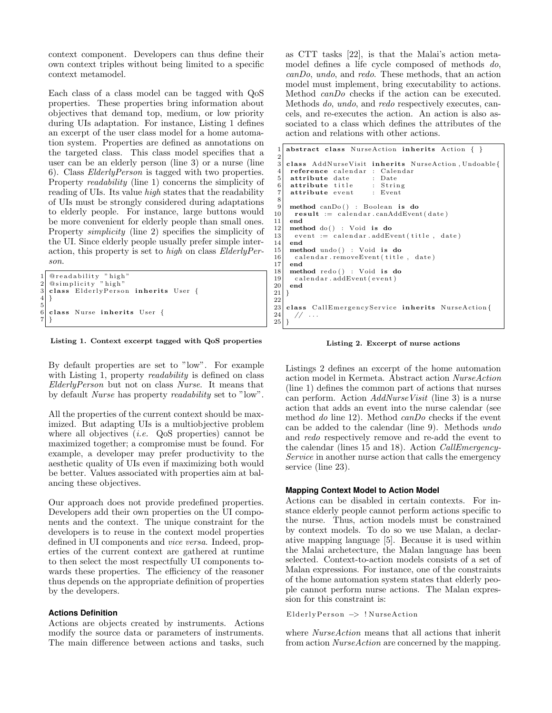context component. Developers can thus define their own context triples without being limited to a specific context metamodel.

Each class of a class model can be tagged with QoS properties. These properties bring information about objectives that demand top, medium, or low priority during UIs adaptation. For instance, Listing [1](#page-3-0) defines an excerpt of the user class model for a home automation system. Properties are defined as annotations on the targeted class. This class model specifies that a user can be an elderly person (line [3\)](#page-3-1) or a nurse (line [6\)](#page-3-2). Class ElderlyPerson is tagged with two properties. Property readability (line [1\)](#page-3-3) concerns the simplicity of reading of UIs. Its value high states that the readability of UIs must be strongly considered during adaptations to elderly people. For instance, large buttons would be more convenient for elderly people than small ones. Property simplicity (line [2\)](#page-3-4) specifies the simplicity of the UI. Since elderly people usually prefer simple interaction, this property is set to high on class ElderlyPerson.

```
1| @readability "high"<br>2| @simplicity "high"
   class ElderlyPerson inherits User {
\begin{bmatrix} 4 \\ 5 \end{bmatrix}class Nurse inherits User {
\frac{6}{7}
```
#### <span id="page-3-2"></span>Listing 1. Context excerpt tagged with QoS properties

By default properties are set to "low". For example with Listing [1,](#page-3-0) property *readability* is defined on class ElderlyPerson but not on class Nurse. It means that by default Nurse has property readability set to "low".

All the properties of the current context should be maximized. But adapting UIs is a multiobjective problem where all objectives  $(i.e. QoS$  properties) cannot be maximized together; a compromise must be found. For example, a developer may prefer productivity to the aesthetic quality of UIs even if maximizing both would be better. Values associated with properties aim at balancing these objectives.

Our approach does not provide predefined properties. Developers add their own properties on the UI components and the context. The unique constraint for the developers is to reuse in the context model properties defined in UI components and vice versa. Indeed, properties of the current context are gathered at runtime to then select the most respectfully UI components towards these properties. The efficiency of the reasoner thus depends on the appropriate definition of properties by the developers.

#### **Actions Definition**

Actions are objects created by instruments. Actions modify the source data or parameters of instruments. The main difference between actions and tasks, such as CTT tasks [\[22\]](#page-10-7), is that the Malai's action metamodel defines a life cycle composed of methods do, canDo, undo, and redo. These methods, that an action model must implement, bring executability to actions. Method canDo checks if the action can be executed. Methods do, undo, and redo respectively executes, cancels, and re-executes the action. An action is also associated to a class which defines the attributes of the action and relations with other actions.

```
abstract class NurseAction inherits Action \{\ \}2
  3 class AddNurseVisit inherits NurseAction, Undoable{<br>4 reference calendar : Calendar
  \begin{array}{c|c} 4 & \textbf{reference} & \textbf{calendar} : \textbf{Calc} \\ 5 & \textbf{attribute date} & : \textbf{Date} \end{array}\begin{array}{ccc} 5 & \textbf{attribute date} \\ 6 & \textbf{attribute title} \end{array}: Date
        attribute title : Strin<br>attribute event : Event
         attribute event
 8
9 method canDo() : Boolean is do<br>10 result := calendar.canAddEven
10 \begin{array}{ll} \n\text{result} &:= \text{ calendar}.\text{candddEvent}(\text{date}) \\
\text{end} \n\end{array}\begin{array}{c|c} 11 & \textbf{end} \\ 12 & \textbf{met} \end{array}\begin{array}{c|c} 12 \ 13 \end{array} method do () : Void is do event := calendar.addEv
13 event := calendar.addEvent (title, date) 14 end
        end
\begin{array}{c|c} 15 & \textbf{method} \textbf{undo}() : \textbf{Void} \textbf{ is do} \\ \hline \textbf{calendar} . \textbf{removeEvent} (title) \end{array}calendar.removeEvent (title, date)
17 end
18 method redo() : Void is do
\begin{bmatrix} 19 \\ 20 \end{bmatrix} calendar. addEvent (event)
        end
21}
\begin{array}{c} 22 \\ 23 \end{array}\begin{bmatrix} 23 \\ 24 \end{bmatrix} class CallEmergencyService inherits NurseAction{
          1/ \cdots25}
```
<span id="page-3-12"></span><span id="page-3-11"></span>Listing 2. Excerpt of nurse actions

Listings [2](#page-3-5) defines an excerpt of the home automation action model in Kermeta. Abstract action NurseAction (line [1\)](#page-3-6) defines the common part of actions that nurses can perform. Action  $AddNurseVisit$  (line [3\)](#page-3-7) is a nurse action that adds an event into the nurse calendar (see method do line [12\)](#page-3-8). Method can Do checks if the event can be added to the calendar (line [9\)](#page-3-9). Methods undo and redo respectively remove and re-add the event to the calendar (lines [15](#page-3-10) and [18\)](#page-3-11). Action CallEmergency-Service in another nurse action that calls the emergency service (line [23\)](#page-3-12).

### **Mapping Context Model to Action Model**

Actions can be disabled in certain contexts. For instance elderly people cannot perform actions specific to the nurse. Thus, action models must be constrained by context models. To do so we use Malan, a declarative mapping language [\[5\]](#page-10-5). Because it is used within the Malai archetecture, the Malan language has been selected. Context-to-action models consists of a set of Malan expressions. For instance, one of the constraints of the home automation system states that elderly people cannot perform nurse actions. The Malan expression for this constraint is:

ElderlyPerson -> !NurseAction

where  $NurseAction$  means that all actions that inherit from action NurseAction are concerned by the mapping.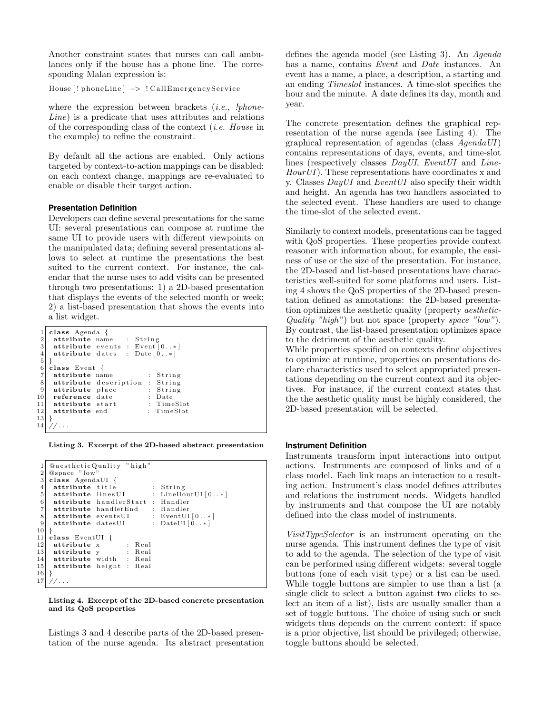Another constraint states that nurses can call ambulances only if the house has a phone line. The corresponding Malan expression is:

House [! phoneLine]  $\rightarrow$  ! CallEmergencyService

where the expression between brackets  $(i.e., 'phone-$ Line) is a predicate that uses attributes and relations of the corresponding class of the context (i.e. House in the example) to refine the constraint.

By default all the actions are enabled. Only actions targeted by context-to-action mappings can be disabled: on each context change, mappings are re-evaluated to enable or disable their target action.

## **Presentation Definition**

Developers can define several presentations for the same UI: several presentations can compose at runtime the same UI to provide users with different viewpoints on the manipulated data; defining several presentations allows to select at runtime the presentations the best suited to the current context. For instance, the calendar that the nurse uses to add visits can be presented through two presentations: 1) a 2D-based presentation that displays the events of the selected month or week; 2) a list-based presentation that shows the events into a list widget.

<span id="page-4-0"></span>

|                  | class Agenda {                      |                                 |  |            |  |  |  |
|------------------|-------------------------------------|---------------------------------|--|------------|--|--|--|
| $\boldsymbol{2}$ |                                     | attribute name : String         |  |            |  |  |  |
| 3                |                                     | attribute events : Event $[0*]$ |  |            |  |  |  |
| $\overline{4}$   | <b>attribute</b> dates : $Date[0*]$ |                                 |  |            |  |  |  |
| 5                |                                     |                                 |  |            |  |  |  |
| 6                | class Event {                       |                                 |  |            |  |  |  |
| $\overline{7}$   | attribute name                      |                                 |  | : String   |  |  |  |
| $\,$ 8 $\,$      |                                     | attribute description : String  |  |            |  |  |  |
| $9\,$            | attribute place                     |                                 |  | $:$ String |  |  |  |
| 10               | reference date                      |                                 |  | : Date     |  |  |  |
| 11               | attribute start                     |                                 |  | : TimeSlot |  |  |  |
| 12               | attribute end                       |                                 |  | : TimeSlot |  |  |  |
| 13               |                                     |                                 |  |            |  |  |  |
| 14               |                                     |                                 |  |            |  |  |  |
|                  |                                     |                                 |  |            |  |  |  |

Listing 3. Excerpt of the 2D-based abstract presentation

<span id="page-4-1"></span>

| 1                | <b>QaestheticQuality</b> "high"  |  |  |  |  |                                     |  |  |  |  |
|------------------|----------------------------------|--|--|--|--|-------------------------------------|--|--|--|--|
| $\boldsymbol{2}$ | @space "low"                     |  |  |  |  |                                     |  |  |  |  |
| 3                | class AgendaUI {                 |  |  |  |  |                                     |  |  |  |  |
| $\overline{4}$   | attribute title                  |  |  |  |  | $:$ String                          |  |  |  |  |
| 5                | attribute linesUI                |  |  |  |  | : LineHourUI[0*]                    |  |  |  |  |
| $\,6\,$          | attribute handlerStart : Handler |  |  |  |  |                                     |  |  |  |  |
| $\overline{7}$   | attribute handlerEnd : Handler   |  |  |  |  |                                     |  |  |  |  |
| 8                |                                  |  |  |  |  | attribute events UI : Event UI [0*] |  |  |  |  |
| 9                | attribute datesUI                |  |  |  |  | $:$ DateUI $[0*]$                   |  |  |  |  |
| 10               |                                  |  |  |  |  |                                     |  |  |  |  |
| 11               | class EventUI $\{$               |  |  |  |  |                                     |  |  |  |  |
| 12               | attribute x : Real               |  |  |  |  |                                     |  |  |  |  |
| 13               | <b>attribute</b> y : Real        |  |  |  |  |                                     |  |  |  |  |
| 14               | attribute width : Real           |  |  |  |  |                                     |  |  |  |  |
| $15$             | attribute height : Real          |  |  |  |  |                                     |  |  |  |  |
| 16               |                                  |  |  |  |  |                                     |  |  |  |  |
| 17               |                                  |  |  |  |  |                                     |  |  |  |  |
|                  |                                  |  |  |  |  |                                     |  |  |  |  |

Listing 4. Excerpt of the 2D-based concrete presentation and its QoS properties

Listings [3](#page-4-0) and [4](#page-4-1) describe parts of the 2D-based presentation of the nurse agenda. Its abstract presentation defines the agenda model (see Listing [3\)](#page-4-0). An Agenda has a name, contains Event and Date instances. An event has a name, a place, a description, a starting and an ending Timeslot instances. A time-slot specifies the hour and the minute. A date defines its day, month and year.

The concrete presentation defines the graphical representation of the nurse agenda (see Listing [4\)](#page-4-1). The graphical representation of agendas (class  $A$ genda $UI$ ) contains representations of days, events, and time-slot lines (respectively classes DayUI, EventUI and Line- $HourUI$ ). These representations have coordinates x and y. Classes  $DayUI$  and  $EventUI$  also specify their width and height. An agenda has two handlers associated to the selected event. These handlers are used to change the time-slot of the selected event.

Similarly to context models, presentations can be tagged with QoS properties. These properties provide context reasoner with information about, for example, the easiness of use or the size of the presentation. For instance, the 2D-based and list-based presentations have characteristics well-suited for some platforms and users. Listing [4](#page-4-1) shows the QoS properties of the 2D-based presentation defined as annotations: the 2D-based presentation optimizes the aesthetic quality (property aesthetic-Quality "high") but not space (property space "low"). By contrast, the list-based presentation optimizes space to the detriment of the aesthetic quality.

While properties specified on contexts define objectives to optimize at runtime, properties on presentations declare characteristics used to select appropriated presentations depending on the current context and its objectives. For instance, if the current context states that the the aesthetic quality must be highly considered, the 2D-based presentation will be selected.

#### **Instrument Definition**

Instruments transform input interactions into output actions. Instruments are composed of links and of a class model. Each link maps an interaction to a resulting action. Instrument's class model defines attributes and relations the instrument needs. Widgets handled by instruments and that compose the UI are notably defined into the class model of instruments.

VisitTypeSelector is an instrument operating on the nurse agenda. This instrument defines the type of visit to add to the agenda. The selection of the type of visit can be performed using different widgets: several toggle buttons (one of each visit type) or a list can be used. While toggle buttons are simpler to use than a list (a single click to select a button against two clicks to select an item of a list), lists are usually smaller than a set of toggle buttons. The choice of using such or such widgets thus depends on the current context: if space is a prior objective, list should be privileged; otherwise, toggle buttons should be selected.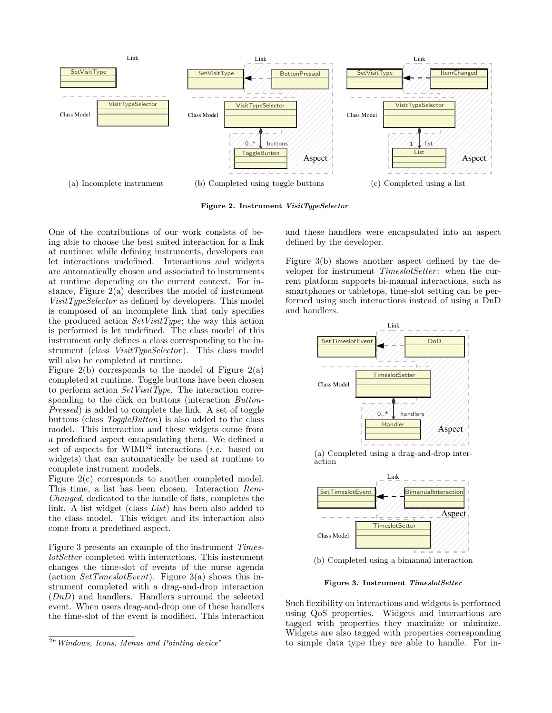<span id="page-5-0"></span>

<span id="page-5-1"></span>Figure 2. Instrument VisitTypeSelector

One of the contributions of our work consists of being able to choose the best suited interaction for a link at runtime: while defining instruments, developers can let interactions undefined. Interactions and widgets are automatically chosen and associated to instruments at runtime depending on the current context. For instance, Figure  $2(a)$  describes the model of instrument VisitTypeSelector as defined by developers. This model is composed of an incomplete link that only specifies the produced action  $SetVisitType$ ; the way this action is performed is let undefined. The class model of this instrument only defines a class corresponding to the instrument (class VisitTypeSelector). This class model will also be completed at runtime.

Figure [2\(b\)](#page-5-1) corresponds to the model of Figure [2\(a\)](#page-5-0) completed at runtime. Toggle buttons have been chosen to perform action  $SetVisitType$ . The interaction corresponding to the click on buttons (interaction Button-Pressed) is added to complete the link. A set of toggle buttons (class ToggleButton) is also added to the class model. This interaction and these widgets come from a predefined aspect encapsulating them. We defined a set of aspects for  $WIMP^2$  $WIMP^2$  interactions (*i.e.* based on widgets) that can automatically be used at runtime to complete instrument models.

Figure [2\(c\)](#page-5-3) corresponds to another completed model. This time, a list has been chosen. Interaction Item-Changed, dedicated to the handle of lists, completes the link. A list widget (class List) has been also added to the class model. This widget and its interaction also come from a predefined aspect.

Figure [3](#page-5-4) presents an example of the instrument TimeslotSetter completed with interactions. This instrument changes the time-slot of events of the nurse agenda (action  $SetTimeslotEvent)$ . Figure [3\(a\)](#page-5-5) shows this instrument completed with a drag-and-drop interaction (DnD) and handlers. Handlers surround the selected event. When users drag-and-drop one of these handlers the time-slot of the event is modified. This interaction <span id="page-5-3"></span>and these handlers were encapsulated into an aspect defined by the developer.

Figure [3\(b\)](#page-5-6) shows another aspect defined by the developer for instrument *TimeslotSetter*: when the current platform supports bi-manual interactions, such as smartphones or tabletops, time-slot setting can be performed using such interactions instead of using a DnD and handlers.

<span id="page-5-5"></span>

(a) Completed using a drag-and-drop interaction

<span id="page-5-6"></span>

(b) Completed using a bimanual interaction

<span id="page-5-4"></span>Figure 3. Instrument TimeslotSetter

Such flexibility on interactions and widgets is performed using QoS properties. Widgets and interactions are tagged with properties they maximize or minimize. Widgets are also tagged with properties corresponding to simple data type they are able to handle. For in-

<span id="page-5-2"></span><sup>&</sup>lt;sup>2</sup>" Windows, Icons, Menus and Pointing device"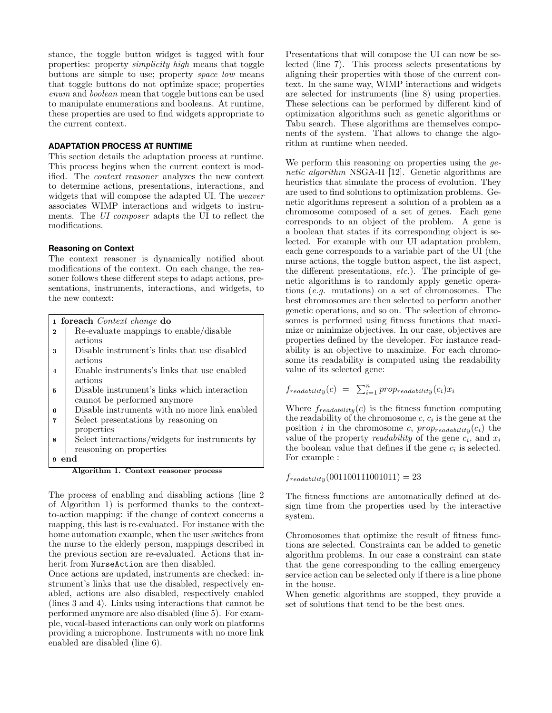stance, the toggle button widget is tagged with four properties: property simplicity high means that toggle buttons are simple to use; property space low means that toggle buttons do not optimize space; properties enum and boolean mean that toggle buttons can be used to manipulate enumerations and booleans. At runtime, these properties are used to find widgets appropriate to the current context.

### **ADAPTATION PROCESS AT RUNTIME**

This section details the adaptation process at runtime. This process begins when the current context is modified. The context reasoner analyzes the new context to determine actions, presentations, interactions, and widgets that will compose the adapted UI. The weaver associates WIMP interactions and widgets to instruments. The UI composer adapts the UI to reflect the modifications.

#### **Reasoning on Context**

The context reasoner is dynamically notified about modifications of the context. On each change, the reasoner follows these different steps to adapt actions, presentations, instruments, interactions, and widgets, to the new context:

<span id="page-6-0"></span>

|              | 1 foreach <i>Context</i> change do            |
|--------------|-----------------------------------------------|
| $\mathbf{2}$ | Re-evaluate mappings to enable/disable        |
|              | actions                                       |
| $\mathbf{a}$ | Disable instrument's links that use disabled  |
|              | actions                                       |
| 4            | Enable instruments's links that use enabled   |
|              | actions                                       |
| 5            | Disable instrument's links which interaction  |
|              | cannot be performed anymore                   |
| В            | Disable instruments with no more link enabled |
|              | Select presentations by reasoning on          |
|              | properties                                    |

<sup>8</sup> Select interactions/widgets for instruments by reasoning on properties

<sup>9</sup> end

Algorithm 1. Context reasoner process

The process of enabling and disabling actions (line 2 of Algorithm [1\)](#page-6-0) is performed thanks to the contextto-action mapping: if the change of context concerns a mapping, this last is re-evaluated. For instance with the home automation example, when the user switches from the nurse to the elderly person, mappings described in the previous section are re-evaluated. Actions that inherit from NurseAction are then disabled.

Once actions are updated, instruments are checked: instrument's links that use the disabled, respectively enabled, actions are also disabled, respectively enabled (lines 3 and 4). Links using interactions that cannot be performed anymore are also disabled (line 5). For example, vocal-based interactions can only work on platforms providing a microphone. Instruments with no more link enabled are disabled (line 6).

Presentations that will compose the UI can now be selected (line 7). This process selects presentations by aligning their properties with those of the current context. In the same way, WIMP interactions and widgets are selected for instruments (line 8) using properties. These selections can be performed by different kind of optimization algorithms such as genetic algorithms or Tabu search. These algorithms are themselves components of the system. That allows to change the algorithm at runtime when needed.

We perform this reasoning on properties using the ge-netic algorithm NSGA-II [\[12\]](#page-10-8). Genetic algorithms are heuristics that simulate the process of evolution. They are used to find solutions to optimization problems. Genetic algorithms represent a solution of a problem as a chromosome composed of a set of genes. Each gene corresponds to an object of the problem. A gene is a boolean that states if its corresponding object is selected. For example with our UI adaptation problem, each gene corresponds to a variable part of the UI (the nurse actions, the toggle button aspect, the list aspect, the different presentations, etc.). The principle of genetic algorithms is to randomly apply genetic operations (e.g. mutations) on a set of chromosomes. The best chromosomes are then selected to perform another genetic operations, and so on. The selection of chromosomes is performed using fitness functions that maximize or minimize objectives. In our case, objectives are properties defined by the developer. For instance readability is an objective to maximize. For each chromosome its readability is computed using the readability value of its selected gene:

$$
f_{readability}(c) = \sum_{i=1}^{n} prop_{readability}(c_i) x_i
$$

Where  $f_{readability}(c)$  is the fitness function computing the readability of the chromosome  $c, c_i$  is the gene at the position i in the chromosome c,  $prop_{readability}(c_i)$  the value of the property *readability* of the gene  $c_i$ , and  $x_i$ the boolean value that defines if the gene  $c_i$  is selected. For example :

 $f_{readability}(001100111001011) = 23$ 

The fitness functions are automatically defined at design time from the properties used by the interactive system.

Chromosomes that optimize the result of fitness functions are selected. Constraints can be added to genetic algorithm problems. In our case a constraint can state that the gene corresponding to the calling emergency service action can be selected only if there is a line phone in the house.

When genetic algorithms are stopped, they provide a set of solutions that tend to be the best ones.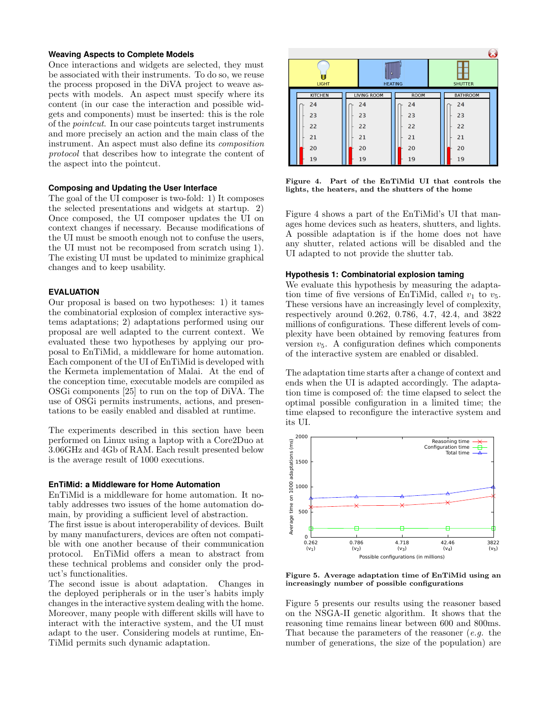## **Weaving Aspects to Complete Models**

Once interactions and widgets are selected, they must be associated with their instruments. To do so, we reuse the process proposed in the DiVA project to weave aspects with models. An aspect must specify where its content (in our case the interaction and possible widgets and components) must be inserted: this is the role of the pointcut. In our case pointcuts target instruments and more precisely an action and the main class of the instrument. An aspect must also define its composition protocol that describes how to integrate the content of the aspect into the pointcut.

#### **Composing and Updating the User Interface**

The goal of the UI composer is two-fold: 1) It composes the selected presentations and widgets at startup. 2) Once composed, the UI composer updates the UI on context changes if necessary. Because modifications of the UI must be smooth enough not to confuse the users, the UI must not be recomposed from scratch using 1). The existing UI must be updated to minimize graphical changes and to keep usability.

#### **EVALUATION**

Our proposal is based on two hypotheses: 1) it tames the combinatorial explosion of complex interactive systems adaptations; 2) adaptations performed using our proposal are well adapted to the current context. We evaluated these two hypotheses by applying our proposal to EnTiMid, a middleware for home automation. Each component of the UI of EnTiMid is developed with the Kermeta implementation of Malai. At the end of the conception time, executable models are compiled as OSGi components [\[25\]](#page-10-9) to run on the top of DiVA. The use of OSGi permits instruments, actions, and presentations to be easily enabled and disabled at runtime.

The experiments described in this section have been performed on Linux using a laptop with a Core2Duo at 3.06GHz and 4Gb of RAM. Each result presented below is the average result of 1000 executions.

#### **EnTiMid: a Middleware for Home Automation**

EnTiMid is a middleware for home automation. It notably addresses two issues of the home automation domain, by providing a sufficient level of abstraction.

The first issue is about interoperability of devices. Built by many manufacturers, devices are often not compatible with one another because of their communication protocol. EnTiMid offers a mean to abstract from these technical problems and consider only the product's functionalities.

The second issue is about adaptation. Changes in the deployed peripherals or in the user's habits imply changes in the interactive system dealing with the home. Moreover, many people with different skills will have to interact with the interactive system, and the UI must adapt to the user. Considering models at runtime, En-TiMid permits such dynamic adaptation.



<span id="page-7-0"></span>Figure 4. Part of the EnTiMid UI that controls the lights, the heaters, and the shutters of the home

Figure [4](#page-7-0) shows a part of the EnTiMid's UI that manages home devices such as heaters, shutters, and lights. A possible adaptation is if the home does not have any shutter, related actions will be disabled and the UI adapted to not provide the shutter tab.

#### **Hypothesis 1: Combinatorial explosion taming**

We evaluate this hypothesis by measuring the adaptation time of five versions of EnTiMid, called  $v_1$  to  $v_5$ . These versions have an increasingly level of complexity, respectively around 0.262, 0.786, 4.7, 42.4, and 3822 millions of configurations. These different levels of complexity have been obtained by removing features from version  $v_5$ . A configuration defines which components of the interactive system are enabled or disabled.

The adaptation time starts after a change of context and ends when the UI is adapted accordingly. The adaptation time is composed of: the time elapsed to select the optimal possible configuration in a limited time; the time elapsed to reconfigure the interactive system and its UI.



<span id="page-7-1"></span>Figure 5. Average adaptation time of EnTiMid using an increasingly number of possible configurations

Figure [5](#page-7-1) presents our results using the reasoner based on the NSGA-II genetic algorithm. It shows that the reasoning time remains linear between 600 and 800ms. That because the parameters of the reasoner  $(e.g.$  the number of generations, the size of the population) are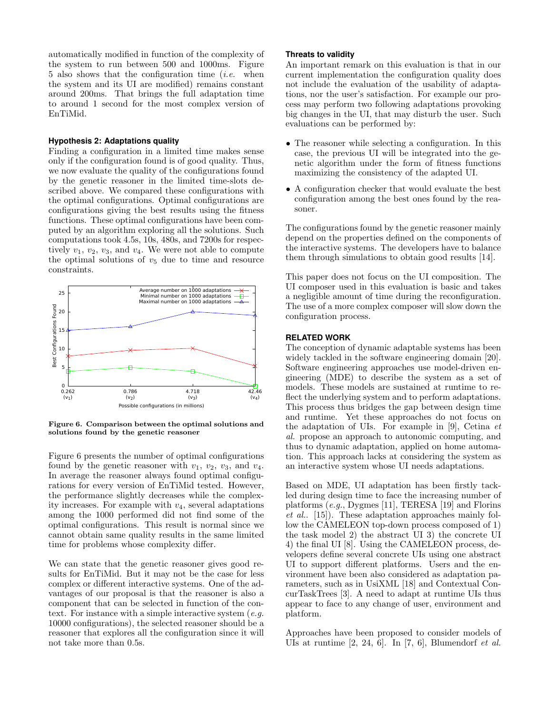automatically modified in function of the complexity of the system to run between 500 and 1000ms. Figure [5](#page-7-1) also shows that the configuration time  $(i.e.$  when the system and its UI are modified) remains constant around 200ms. That brings the full adaptation time to around 1 second for the most complex version of EnTiMid.

#### **Hypothesis 2: Adaptations quality**

Finding a configuration in a limited time makes sense only if the configuration found is of good quality. Thus, we now evaluate the quality of the configurations found by the genetic reasoner in the limited time-slots described above. We compared these configurations with the optimal configurations. Optimal configurations are configurations giving the best results using the fitness functions. These optimal configurations have been computed by an algorithm exploring all the solutions. Such computations took 4.5s, 10s, 480s, and 7200s for respectively  $v_1, v_2, v_3$ , and  $v_4$ . We were not able to compute the optimal solutions of  $v_5$  due to time and resource constraints.



<span id="page-8-0"></span>Figure 6. Comparison between the optimal solutions and solutions found by the genetic reasoner

Figure [6](#page-8-0) presents the number of optimal configurations found by the genetic reasoner with  $v_1$ ,  $v_2$ ,  $v_3$ , and  $v_4$ . In average the reasoner always found optimal configurations for every version of EnTiMid tested. However, the performance slightly decreases while the complexity increases. For example with  $v_4$ , several adaptations among the 1000 performed did not find some of the optimal configurations. This result is normal since we cannot obtain same quality results in the same limited time for problems whose complexity differ.

We can state that the genetic reasoner gives good results for EnTiMid. But it may not be the case for less complex or different interactive systems. One of the advantages of our proposal is that the reasoner is also a component that can be selected in function of the context. For instance with a simple interactive system  $(e.g., )$ 10000 configurations), the selected reasoner should be a reasoner that explores all the configuration since it will not take more than 0.5s.

#### **Threats to validity**

An important remark on this evaluation is that in our current implementation the configuration quality does not include the evaluation of the usability of adaptations, nor the user's satisfaction. For example our process may perform two following adaptations provoking big changes in the UI, that may disturb the user. Such evaluations can be performed by:

- The reasoner while selecting a configuration. In this case, the previous UI will be integrated into the genetic algorithm under the form of fitness functions maximizing the consistency of the adapted UI.
- A configuration checker that would evaluate the best configuration among the best ones found by the reasoner.

The configurations found by the genetic reasoner mainly depend on the properties defined on the components of the interactive systems. The developers have to balance them through simulations to obtain good results [\[14\]](#page-10-1).

This paper does not focus on the UI composition. The UI composer used in this evaluation is basic and takes a negligible amount of time during the reconfiguration. The use of a more complex composer will slow down the configuration process.

## **RELATED WORK**

The conception of dynamic adaptable systems has been widely tackled in the software engineering domain [\[20\]](#page-10-3). Software engineering approaches use model-driven engineering (MDE) to describe the system as a set of models. These models are sustained at runtime to reflect the underlying system and to perform adaptations. This process thus bridges the gap between design time and runtime. Yet these approaches do not focus on the adaptation of UIs. For example in  $[9]$ , Cetina  $et$ al. propose an approach to autonomic computing, and thus to dynamic adaptation, applied on home automation. This approach lacks at considering the system as an interactive system whose UI needs adaptations.

Based on MDE, UI adaptation has been firstly tackled during design time to face the increasing number of platforms (e.g., Dygmes [\[11\]](#page-10-11), TERESA [\[19\]](#page-10-12) and Florins et al.. [\[15\]](#page-10-13)). These adaptation approaches mainly follow the CAMELEON top-down process composed of 1) the task model 2) the abstract UI 3) the concrete UI 4) the final UI [\[8\]](#page-10-0). Using the CAMELEON process, developers define several concrete UIs using one abstract UI to support different platforms. Users and the environment have been also considered as adaptation parameters, such as in UsiXML [\[18\]](#page-10-14) and Contextual ConcurTaskTrees [\[3\]](#page-10-15). A need to adapt at runtime UIs thus appear to face to any change of user, environment and platform.

Approaches have been proposed to consider models of UIs at runtime  $[2, 24, 6]$  $[2, 24, 6]$  $[2, 24, 6]$ . In  $[7, 6]$ , Blumendorf *et al.*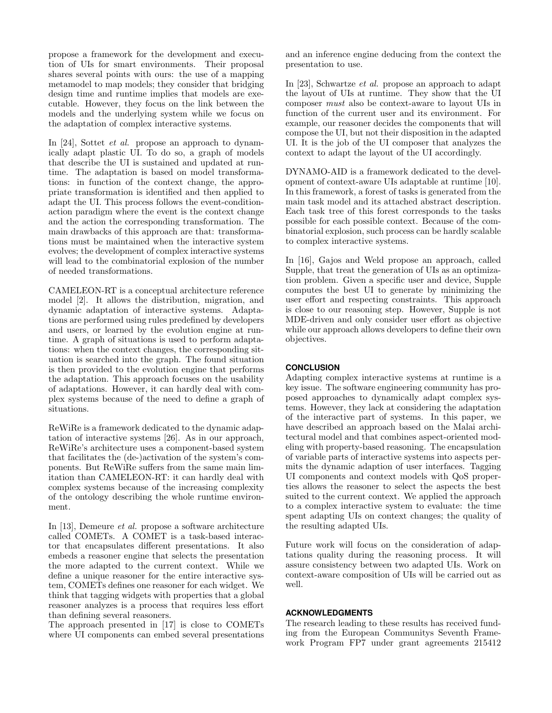propose a framework for the development and execution of UIs for smart environments. Their proposal shares several points with ours: the use of a mapping metamodel to map models; they consider that bridging design time and runtime implies that models are executable. However, they focus on the link between the models and the underlying system while we focus on the adaptation of complex interactive systems.

In [\[24\]](#page-10-17), Sottet *et al.* propose an approach to dynamically adapt plastic UI. To do so, a graph of models that describe the UI is sustained and updated at runtime. The adaptation is based on model transformations: in function of the context change, the appropriate transformation is identified and then applied to adapt the UI. This process follows the event-conditionaction paradigm where the event is the context change and the action the corresponding transformation. The main drawbacks of this approach are that: transformations must be maintained when the interactive system evolves; the development of complex interactive systems will lead to the combinatorial explosion of the number of needed transformations.

CAMELEON-RT is a conceptual architecture reference model [\[2\]](#page-10-16). It allows the distribution, migration, and dynamic adaptation of interactive systems. Adaptations are performed using rules predefined by developers and users, or learned by the evolution engine at runtime. A graph of situations is used to perform adaptations: when the context changes, the corresponding situation is searched into the graph. The found situation is then provided to the evolution engine that performs the adaptation. This approach focuses on the usability of adaptations. However, it can hardly deal with complex systems because of the need to define a graph of situations.

ReWiRe is a framework dedicated to the dynamic adaptation of interactive systems [\[26\]](#page-10-20). As in our approach, ReWiRe's architecture uses a component-based system that facilitates the (de-)activation of the system's components. But ReWiRe suffers from the same main limitation than CAMELEON-RT: it can hardly deal with complex systems because of the increasing complexity of the ontology describing the whole runtime environment.

In [\[13\]](#page-10-21), Demeure et al. propose a software architecture called COMETs. A COMET is a task-based interactor that encapsulates different presentations. It also embeds a reasoner engine that selects the presentation the more adapted to the current context. While we define a unique reasoner for the entire interactive system, COMETs defines one reasoner for each widget. We think that tagging widgets with properties that a global reasoner analyzes is a process that requires less effort than defining several reasoners.

The approach presented in [\[17\]](#page-10-22) is close to COMETs where UI components can embed several presentations and an inference engine deducing from the context the presentation to use.

In [\[23\]](#page-10-23), Schwartze et al. propose an approach to adapt the layout of UIs at runtime. They show that the UI composer must also be context-aware to layout UIs in function of the current user and its environment. For example, our reasoner decides the components that will compose the UI, but not their disposition in the adapted UI. It is the job of the UI composer that analyzes the context to adapt the layout of the UI accordingly.

DYNAMO-AID is a framework dedicated to the development of context-aware UIs adaptable at runtime [\[10\]](#page-10-24). In this framework, a forest of tasks is generated from the main task model and its attached abstract description. Each task tree of this forest corresponds to the tasks possible for each possible context. Because of the combinatorial explosion, such process can be hardly scalable to complex interactive systems.

In [\[16\]](#page-10-25), Gajos and Weld propose an approach, called Supple, that treat the generation of UIs as an optimization problem. Given a specific user and device, Supple computes the best UI to generate by minimizing the user effort and respecting constraints. This approach is close to our reasoning step. However, Supple is not MDE-driven and only consider user effort as objective while our approach allows developers to define their own objectives.

# **CONCLUSION**

Adapting complex interactive systems at runtime is a key issue. The software engineering community has proposed approaches to dynamically adapt complex systems. However, they lack at considering the adaptation of the interactive part of systems. In this paper, we have described an approach based on the Malai architectural model and that combines aspect-oriented modeling with property-based reasoning. The encapsulation of variable parts of interactive systems into aspects permits the dynamic adaption of user interfaces. Tagging UI components and context models with QoS properties allows the reasoner to select the aspects the best suited to the current context. We applied the approach to a complex interactive system to evaluate: the time spent adapting UIs on context changes; the quality of the resulting adapted UIs.

Future work will focus on the consideration of adaptations quality during the reasoning process. It will assure consistency between two adapted UIs. Work on context-aware composition of UIs will be carried out as well.

#### **ACKNOWLEDGMENTS**

The research leading to these results has received funding from the European Communitys Seventh Framework Program FP7 under grant agreements 215412